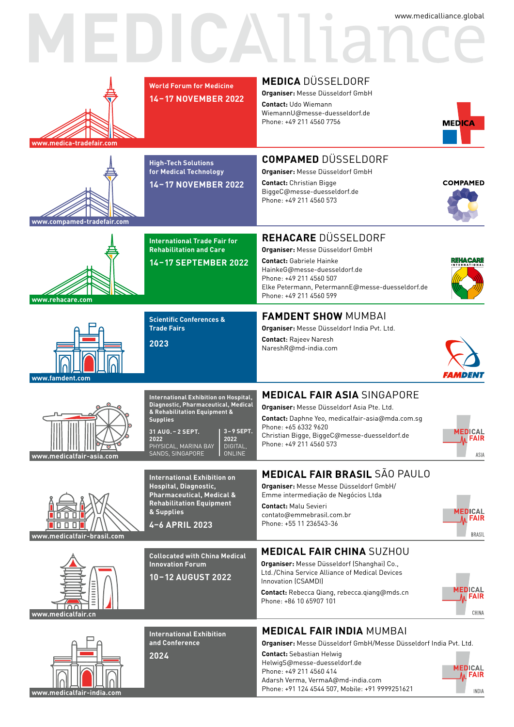

#### **INDIA**